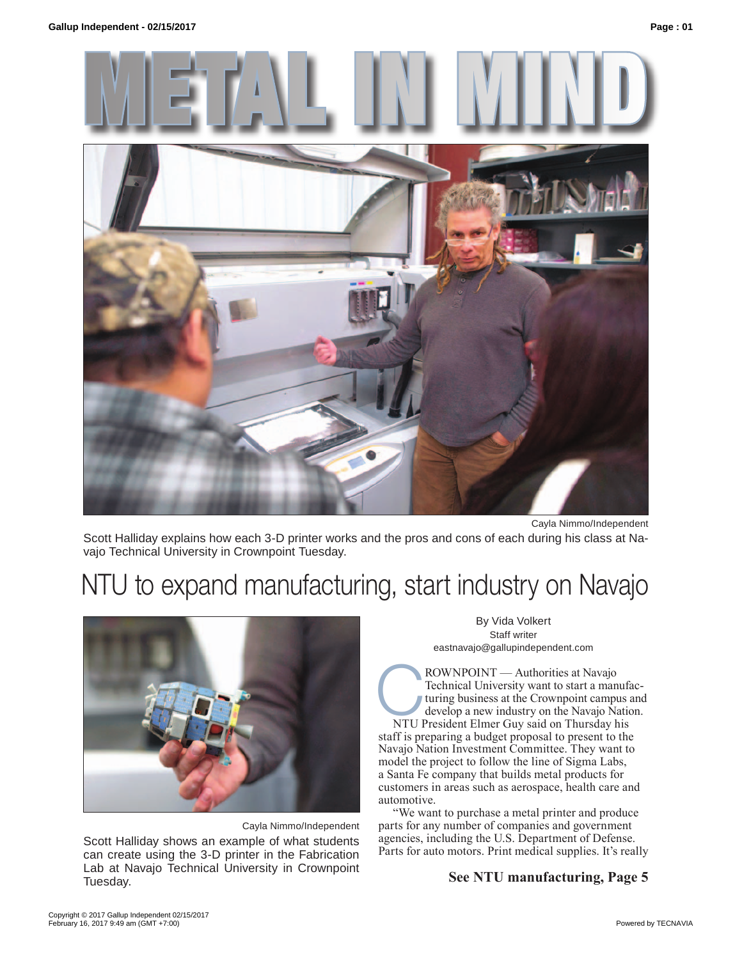



Cayla Nimmo/Independent

Scott Halliday explains how each 3-D printer works and the pros and cons of each during his class at Navajo Technical University in Crownpoint Tuesday.

# NTU to expand manufacturing, start industry on Navajo



Cayla Nimmo/Independent

Scott Halliday shows an example of what students can create using the 3-D printer in the Fabrication Lab at Navajo Technical University in Crownpoint Tuesday.

By Vida Volkert Staff writer eastnavajo@gallupindependent.com

ROWNPOINT — Authorities at Navajo<br>Technical University want to start a man<br>turing business at the Crownpoint campu<br>develop a new industry on the Navajo Na<br>NTU President Elmer Guv said on Thursday h Technical University want to start a manufacturing business at the Crownpoint campus and develop a new industry on the Navajo Nation.

NTU President Elmer Guy said on Thursday his staff is preparing a budget proposal to present to the Navajo Nation Investment Committee. They want to model the project to follow the line of Sigma Labs, a Santa Fe company that builds metal products for customers in areas such as aerospace, health care and automotive.

"We want to purchase a metal printer and produce parts for any number of companies and government agencies, including the U.S. Department of Defense. Parts for auto motors. Print medical supplies. It's really

### **See NTU manufacturing, Page 5**